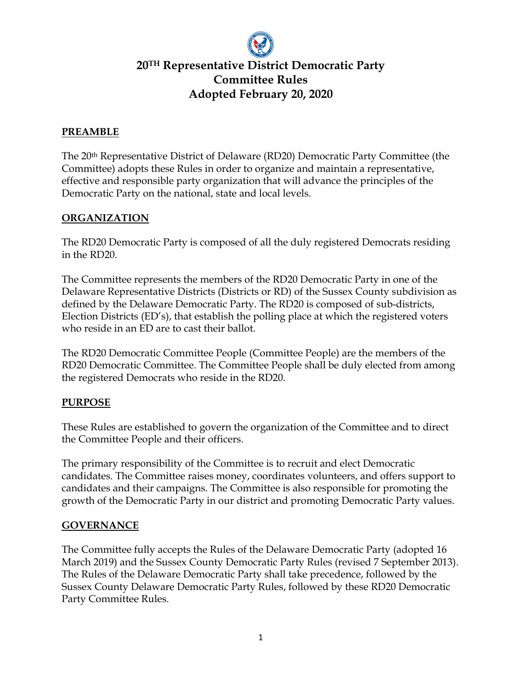

# **20TH Representative District Democratic Party Committee Rules Adopted February 20, 2020**

### **PREAMBLE**

The 20th Representative District of Delaware (RD20) Democratic Party Committee (the Committee) adopts these Rules in order to organize and maintain a representative, effective and responsible party organization that will advance the principles of the Democratic Party on the national, state and local levels.

### **ORGANIZATION**

The RD20 Democratic Party is composed of all the duly registered Democrats residing in the RD20.

The Committee represents the members of the RD20 Democratic Party in one of the Delaware Representative Districts (Districts or RD) of the Sussex County subdivision as defined by the Delaware Democratic Party. The RD20 is composed of sub-districts, Election Districts (ED's), that establish the polling place at which the registered voters who reside in an ED are to cast their ballot.

The RD20 Democratic Committee People (Committee People) are the members of the RD20 Democratic Committee. The Committee People shall be duly elected from among the registered Democrats who reside in the RD20.

#### **PURPOSE**

These Rules are established to govern the organization of the Committee and to direct the Committee People and their officers.

The primary responsibility of the Committee is to recruit and elect Democratic candidates. The Committee raises money, coordinates volunteers, and offers support to candidates and their campaigns. The Committee is also responsible for promoting the growth of the Democratic Party in our district and promoting Democratic Party values.

#### **GOVERNANCE**

The Committee fully accepts the Rules of the Delaware Democratic Party (adopted 16 March 2019) and the Sussex County Democratic Party Rules (revised 7 September 2013). The Rules of the Delaware Democratic Party shall take precedence, followed by the Sussex County Delaware Democratic Party Rules, followed by these RD20 Democratic Party Committee Rules.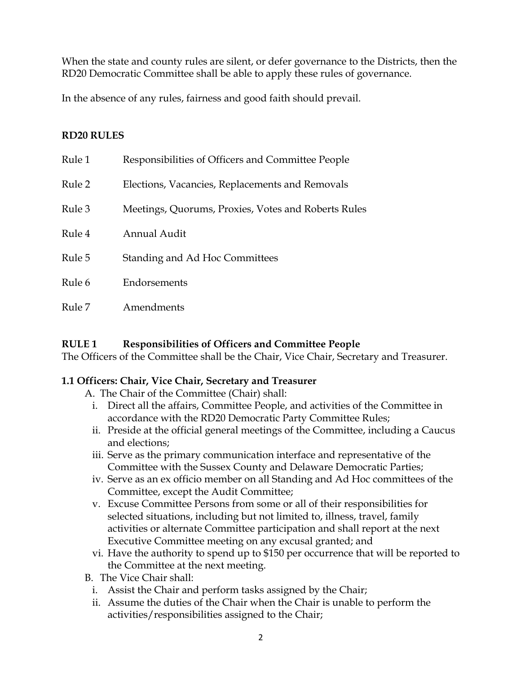When the state and county rules are silent, or defer governance to the Districts, then the RD20 Democratic Committee shall be able to apply these rules of governance.

In the absence of any rules, fairness and good faith should prevail.

## **RD20 RULES**

| Rule 1 | Responsibilities of Officers and Committee People   |
|--------|-----------------------------------------------------|
| Rule 2 | Elections, Vacancies, Replacements and Removals     |
| Rule 3 | Meetings, Quorums, Proxies, Votes and Roberts Rules |
| Rule 4 | <b>Annual Audit</b>                                 |
| Rule 5 | Standing and Ad Hoc Committees                      |
| Rule 6 | Endorsements                                        |
| Rule 7 | Amendments                                          |

#### **RULE 1 Responsibilities of Officers and Committee People**

The Officers of the Committee shall be the Chair, Vice Chair, Secretary and Treasurer.

#### **1.1 Officers: Chair, Vice Chair, Secretary and Treasurer**

- A. The Chair of the Committee (Chair) shall:
	- i. Direct all the affairs, Committee People, and activities of the Committee in accordance with the RD20 Democratic Party Committee Rules;
	- ii. Preside at the official general meetings of the Committee, including a Caucus and elections;
	- iii. Serve as the primary communication interface and representative of the Committee with the Sussex County and Delaware Democratic Parties;
	- iv. Serve as an ex officio member on all Standing and Ad Hoc committees of the Committee, except the Audit Committee;
	- v. Excuse Committee Persons from some or all of their responsibilities for selected situations, including but not limited to, illness, travel, family activities or alternate Committee participation and shall report at the next Executive Committee meeting on any excusal granted; and
	- vi. Have the authority to spend up to \$150 per occurrence that will be reported to the Committee at the next meeting.
- B. The Vice Chair shall:
	- i. Assist the Chair and perform tasks assigned by the Chair;
	- ii. Assume the duties of the Chair when the Chair is unable to perform the activities/responsibilities assigned to the Chair;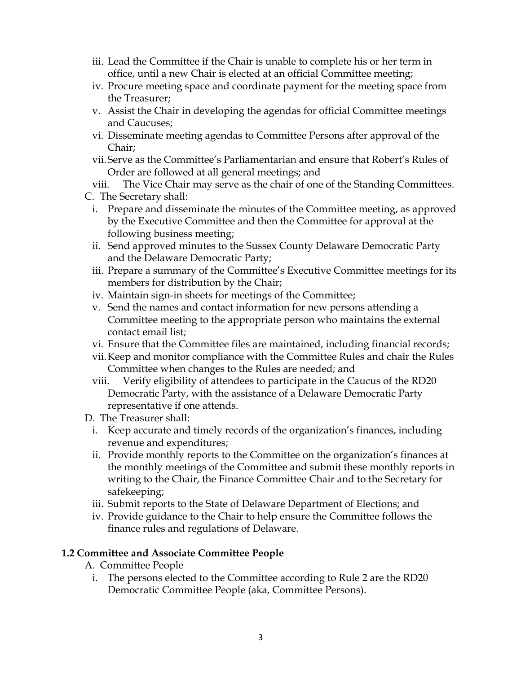- iii. Lead the Committee if the Chair is unable to complete his or her term in office, until a new Chair is elected at an official Committee meeting;
- iv. Procure meeting space and coordinate payment for the meeting space from the Treasurer;
- v. Assist the Chair in developing the agendas for official Committee meetings and Caucuses;
- vi. Disseminate meeting agendas to Committee Persons after approval of the Chair;
- vii.Serve as the Committee's Parliamentarian and ensure that Robert's Rules of Order are followed at all general meetings; and

viii. The Vice Chair may serve as the chair of one of the Standing Committees.

C. The Secretary shall:

- i. Prepare and disseminate the minutes of the Committee meeting, as approved by the Executive Committee and then the Committee for approval at the following business meeting;
- ii. Send approved minutes to the Sussex County Delaware Democratic Party and the Delaware Democratic Party;
- iii. Prepare a summary of the Committee's Executive Committee meetings for its members for distribution by the Chair;
- iv. Maintain sign-in sheets for meetings of the Committee;
- v. Send the names and contact information for new persons attending a Committee meeting to the appropriate person who maintains the external contact email list;
- vi. Ensure that the Committee files are maintained, including financial records;
- vii.Keep and monitor compliance with the Committee Rules and chair the Rules Committee when changes to the Rules are needed; and
- viii. Verify eligibility of attendees to participate in the Caucus of the RD20 Democratic Party, with the assistance of a Delaware Democratic Party representative if one attends.
- D. The Treasurer shall:
	- i. Keep accurate and timely records of the organization's finances, including revenue and expenditures;
	- ii. Provide monthly reports to the Committee on the organization's finances at the monthly meetings of the Committee and submit these monthly reports in writing to the Chair, the Finance Committee Chair and to the Secretary for safekeeping;
	- iii. Submit reports to the State of Delaware Department of Elections; and
	- iv. Provide guidance to the Chair to help ensure the Committee follows the finance rules and regulations of Delaware.

# **1.2 Committee and Associate Committee People**

- A. Committee People
	- i. The persons elected to the Committee according to Rule 2 are the RD20 Democratic Committee People (aka, Committee Persons).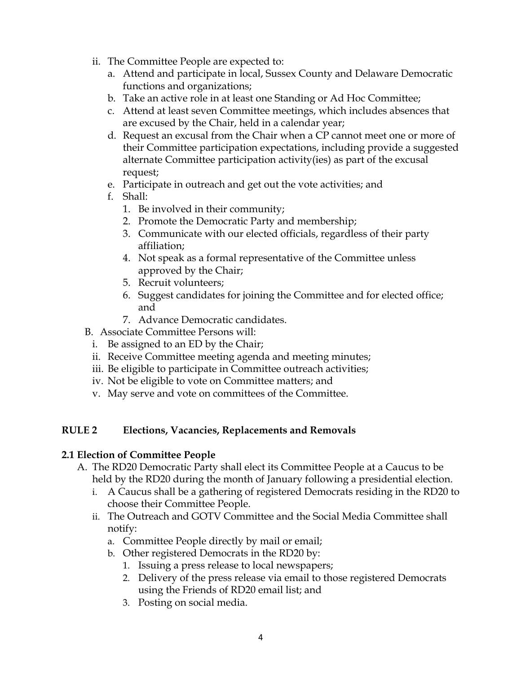- ii. The Committee People are expected to:
	- a. Attend and participate in local, Sussex County and Delaware Democratic functions and organizations;
	- b. Take an active role in at least one Standing or Ad Hoc Committee;
	- c. Attend at least seven Committee meetings, which includes absences that are excused by the Chair, held in a calendar year;
	- d. Request an excusal from the Chair when a CP cannot meet one or more of their Committee participation expectations, including provide a suggested alternate Committee participation activity(ies) as part of the excusal request;
	- e. Participate in outreach and get out the vote activities; and
	- f. Shall:
		- 1. Be involved in their community;
		- 2. Promote the Democratic Party and membership;
		- 3. Communicate with our elected officials, regardless of their party affiliation;
		- 4. Not speak as a formal representative of the Committee unless approved by the Chair;
		- 5. Recruit volunteers;
		- 6. Suggest candidates for joining the Committee and for elected office; and
		- 7. Advance Democratic candidates.
- B. Associate Committee Persons will:
	- i. Be assigned to an ED by the Chair;
	- ii. Receive Committee meeting agenda and meeting minutes;
	- iii. Be eligible to participate in Committee outreach activities;
	- iv. Not be eligible to vote on Committee matters; and
	- v. May serve and vote on committees of the Committee.

# **RULE 2 Elections, Vacancies, Replacements and Removals**

#### **2.1 Election of Committee People**

- A. The RD20 Democratic Party shall elect its Committee People at a Caucus to be held by the RD20 during the month of January following a presidential election.
	- i. A Caucus shall be a gathering of registered Democrats residing in the RD20 to choose their Committee People.
	- ii. The Outreach and GOTV Committee and the Social Media Committee shall notify:
		- a. Committee People directly by mail or email;
		- b. Other registered Democrats in the RD20 by:
			- 1. Issuing a press release to local newspapers;
			- 2. Delivery of the press release via email to those registered Democrats using the Friends of RD20 email list; and
			- 3. Posting on social media.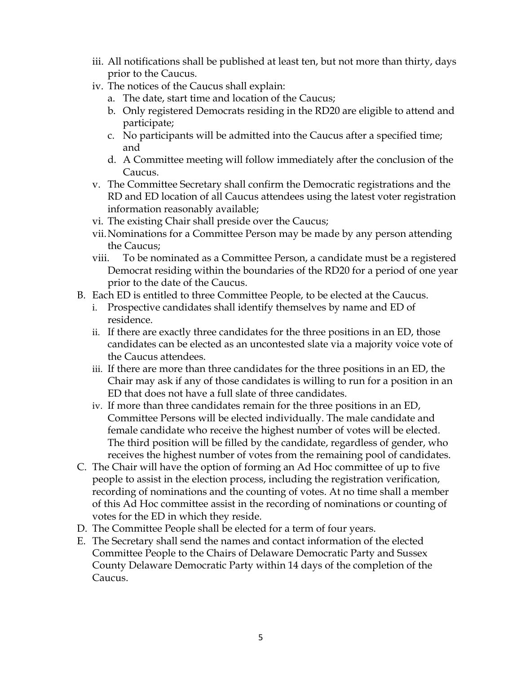- iii. All notifications shall be published at least ten, but not more than thirty, days prior to the Caucus.
- iv. The notices of the Caucus shall explain:
	- a. The date, start time and location of the Caucus;
	- b. Only registered Democrats residing in the RD20 are eligible to attend and participate;
	- c. No participants will be admitted into the Caucus after a specified time; and
	- d. A Committee meeting will follow immediately after the conclusion of the Caucus.
- v. The Committee Secretary shall confirm the Democratic registrations and the RD and ED location of all Caucus attendees using the latest voter registration information reasonably available;
- vi. The existing Chair shall preside over the Caucus;
- vii.Nominations for a Committee Person may be made by any person attending the Caucus;
- viii. To be nominated as a Committee Person, a candidate must be a registered Democrat residing within the boundaries of the RD20 for a period of one year prior to the date of the Caucus.
- B. Each ED is entitled to three Committee People, to be elected at the Caucus.
	- i. Prospective candidates shall identify themselves by name and ED of residence.
	- ii. If there are exactly three candidates for the three positions in an ED, those candidates can be elected as an uncontested slate via a majority voice vote of the Caucus attendees.
	- iii. If there are more than three candidates for the three positions in an ED, the Chair may ask if any of those candidates is willing to run for a position in an ED that does not have a full slate of three candidates.
	- iv. If more than three candidates remain for the three positions in an ED, Committee Persons will be elected individually. The male candidate and female candidate who receive the highest number of votes will be elected. The third position will be filled by the candidate, regardless of gender, who receives the highest number of votes from the remaining pool of candidates.
- C. The Chair will have the option of forming an Ad Hoc committee of up to five people to assist in the election process, including the registration verification, recording of nominations and the counting of votes. At no time shall a member of this Ad Hoc committee assist in the recording of nominations or counting of votes for the ED in which they reside.
- D. The Committee People shall be elected for a term of four years.
- E. The Secretary shall send the names and contact information of the elected Committee People to the Chairs of Delaware Democratic Party and Sussex County Delaware Democratic Party within 14 days of the completion of the Caucus.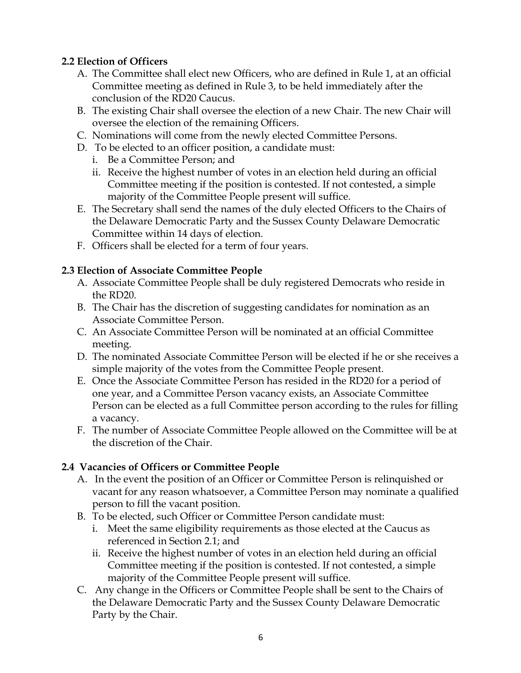# **2.2 Election of Officers**

- A. The Committee shall elect new Officers, who are defined in Rule 1, at an official Committee meeting as defined in Rule 3, to be held immediately after the conclusion of the RD20 Caucus.
- B. The existing Chair shall oversee the election of a new Chair. The new Chair will oversee the election of the remaining Officers.
- C. Nominations will come from the newly elected Committee Persons.
- D. To be elected to an officer position, a candidate must:
	- i. Be a Committee Person; and
	- ii. Receive the highest number of votes in an election held during an official Committee meeting if the position is contested. If not contested, a simple majority of the Committee People present will suffice.
- E. The Secretary shall send the names of the duly elected Officers to the Chairs of the Delaware Democratic Party and the Sussex County Delaware Democratic Committee within 14 days of election.
- F. Officers shall be elected for a term of four years.

### **2.3 Election of Associate Committee People**

- A. Associate Committee People shall be duly registered Democrats who reside in the RD20.
- B. The Chair has the discretion of suggesting candidates for nomination as an Associate Committee Person.
- C. An Associate Committee Person will be nominated at an official Committee meeting.
- D. The nominated Associate Committee Person will be elected if he or she receives a simple majority of the votes from the Committee People present.
- E. Once the Associate Committee Person has resided in the RD20 for a period of one year, and a Committee Person vacancy exists, an Associate Committee Person can be elected as a full Committee person according to the rules for filling a vacancy.
- F. The number of Associate Committee People allowed on the Committee will be at the discretion of the Chair.

# **2.4 Vacancies of Officers or Committee People**

- A. In the event the position of an Officer or Committee Person is relinquished or vacant for any reason whatsoever, a Committee Person may nominate a qualified person to fill the vacant position.
- B. To be elected, such Officer or Committee Person candidate must:
	- i. Meet the same eligibility requirements as those elected at the Caucus as referenced in Section 2.1; and
	- ii. Receive the highest number of votes in an election held during an official Committee meeting if the position is contested. If not contested, a simple majority of the Committee People present will suffice.
- C. Any change in the Officers or Committee People shall be sent to the Chairs of the Delaware Democratic Party and the Sussex County Delaware Democratic Party by the Chair.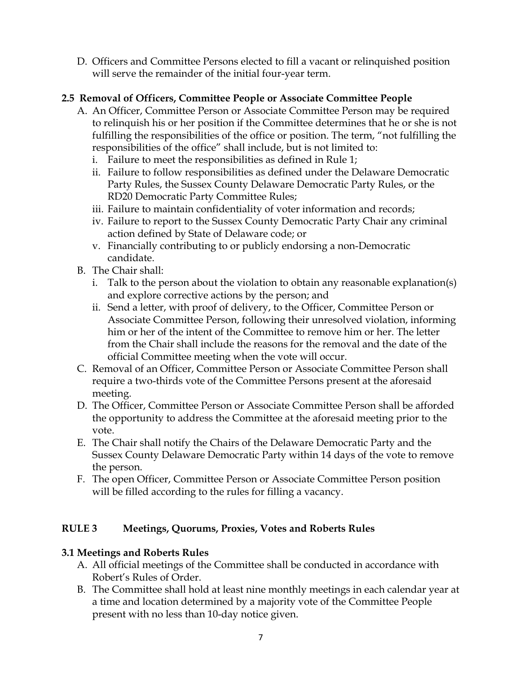D. Officers and Committee Persons elected to fill a vacant or relinquished position will serve the remainder of the initial four-year term.

# **2.5 Removal of Officers, Committee People or Associate Committee People**

- A. An Officer, Committee Person or Associate Committee Person may be required to relinquish his or her position if the Committee determines that he or she is not fulfilling the responsibilities of the office or position. The term, "not fulfilling the responsibilities of the office" shall include, but is not limited to:
	- i. Failure to meet the responsibilities as defined in Rule 1;
	- ii. Failure to follow responsibilities as defined under the Delaware Democratic Party Rules, the Sussex County Delaware Democratic Party Rules, or the RD20 Democratic Party Committee Rules;
	- iii. Failure to maintain confidentiality of voter information and records;
	- iv. Failure to report to the Sussex County Democratic Party Chair any criminal action defined by State of Delaware code; or
	- v. Financially contributing to or publicly endorsing a non-Democratic candidate.
- B. The Chair shall:
	- i. Talk to the person about the violation to obtain any reasonable explanation(s) and explore corrective actions by the person; and
	- ii. Send a letter, with proof of delivery, to the Officer, Committee Person or Associate Committee Person, following their unresolved violation, informing him or her of the intent of the Committee to remove him or her. The letter from the Chair shall include the reasons for the removal and the date of the official Committee meeting when the vote will occur.
- C. Removal of an Officer, Committee Person or Associate Committee Person shall require a two-thirds vote of the Committee Persons present at the aforesaid meeting.
- D. The Officer, Committee Person or Associate Committee Person shall be afforded the opportunity to address the Committee at the aforesaid meeting prior to the vote.
- E. The Chair shall notify the Chairs of the Delaware Democratic Party and the Sussex County Delaware Democratic Party within 14 days of the vote to remove the person.
- F. The open Officer, Committee Person or Associate Committee Person position will be filled according to the rules for filling a vacancy.

# **RULE 3 Meetings, Quorums, Proxies, Votes and Roberts Rules**

# **3.1 Meetings and Roberts Rules**

- A. All official meetings of the Committee shall be conducted in accordance with Robert's Rules of Order.
- B. The Committee shall hold at least nine monthly meetings in each calendar year at a time and location determined by a majority vote of the Committee People present with no less than 10-day notice given.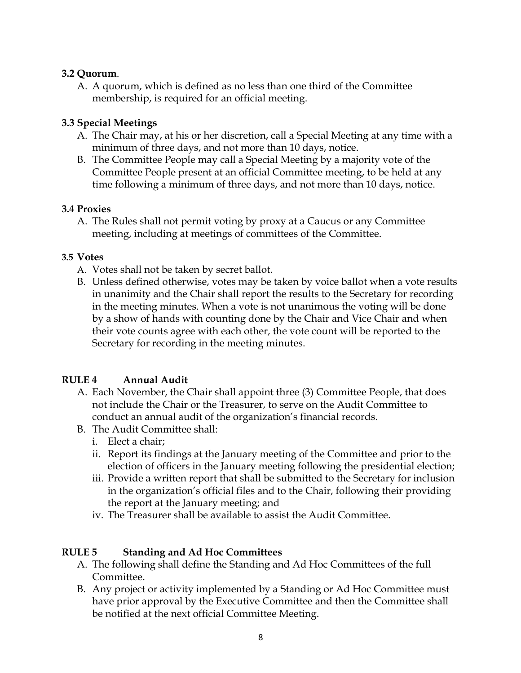### **3.2 Quorum**.

A. A quorum, which is defined as no less than one third of the Committee membership, is required for an official meeting.

## **3.3 Special Meetings**

- A. The Chair may, at his or her discretion, call a Special Meeting at any time with a minimum of three days, and not more than 10 days, notice.
- B. The Committee People may call a Special Meeting by a majority vote of the Committee People present at an official Committee meeting, to be held at any time following a minimum of three days, and not more than 10 days, notice.

### **3.4 Proxies**

A. The Rules shall not permit voting by proxy at a Caucus or any Committee meeting, including at meetings of committees of the Committee.

### **3.5 Votes**

- A. Votes shall not be taken by secret ballot.
- B. Unless defined otherwise, votes may be taken by voice ballot when a vote results in unanimity and the Chair shall report the results to the Secretary for recording in the meeting minutes. When a vote is not unanimous the voting will be done by a show of hands with counting done by the Chair and Vice Chair and when their vote counts agree with each other, the vote count will be reported to the Secretary for recording in the meeting minutes.

# **RULE 4 Annual Audit**

- A. Each November, the Chair shall appoint three (3) Committee People, that does not include the Chair or the Treasurer, to serve on the Audit Committee to conduct an annual audit of the organization's financial records.
- B. The Audit Committee shall:
	- i. Elect a chair;
	- ii. Report its findings at the January meeting of the Committee and prior to the election of officers in the January meeting following the presidential election;
	- iii. Provide a written report that shall be submitted to the Secretary for inclusion in the organization's official files and to the Chair, following their providing the report at the January meeting; and
	- iv. The Treasurer shall be available to assist the Audit Committee.

# **RULE 5 Standing and Ad Hoc Committees**

- A. The following shall define the Standing and Ad Hoc Committees of the full Committee.
- B. Any project or activity implemented by a Standing or Ad Hoc Committee must have prior approval by the Executive Committee and then the Committee shall be notified at the next official Committee Meeting.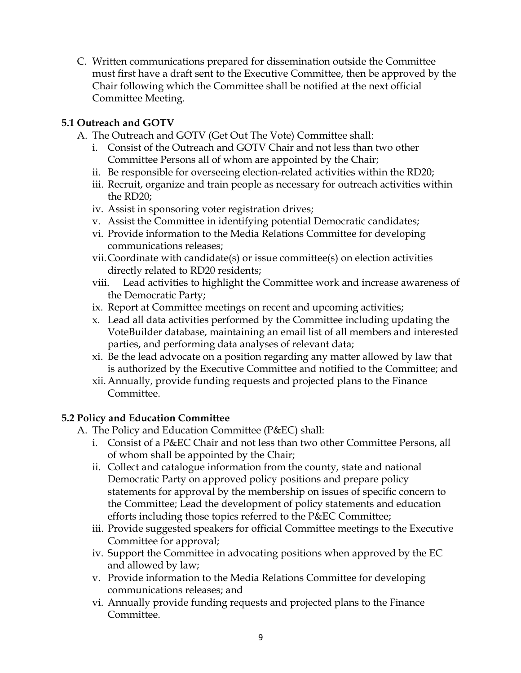C. Written communications prepared for dissemination outside the Committee must first have a draft sent to the Executive Committee, then be approved by the Chair following which the Committee shall be notified at the next official Committee Meeting.

# **5.1 Outreach and GOTV**

- A. The Outreach and GOTV (Get Out The Vote) Committee shall:
	- i. Consist of the Outreach and GOTV Chair and not less than two other Committee Persons all of whom are appointed by the Chair;
	- ii. Be responsible for overseeing election-related activities within the RD20;
	- iii. Recruit, organize and train people as necessary for outreach activities within the RD20;
	- iv. Assist in sponsoring voter registration drives;
	- v. Assist the Committee in identifying potential Democratic candidates;
	- vi. Provide information to the Media Relations Committee for developing communications releases;
	- vii.Coordinate with candidate(s) or issue committee(s) on election activities directly related to RD20 residents;
	- viii. Lead activities to highlight the Committee work and increase awareness of the Democratic Party;
	- ix. Report at Committee meetings on recent and upcoming activities;
	- x. Lead all data activities performed by the Committee including updating the VoteBuilder database, maintaining an email list of all members and interested parties, and performing data analyses of relevant data;
	- xi. Be the lead advocate on a position regarding any matter allowed by law that is authorized by the Executive Committee and notified to the Committee; and
	- xii.Annually, provide funding requests and projected plans to the Finance Committee.

# **5.2 Policy and Education Committee**

- A. The Policy and Education Committee (P&EC) shall:
	- i. Consist of a P&EC Chair and not less than two other Committee Persons, all of whom shall be appointed by the Chair;
	- ii. Collect and catalogue information from the county, state and national Democratic Party on approved policy positions and prepare policy statements for approval by the membership on issues of specific concern to the Committee; Lead the development of policy statements and education efforts including those topics referred to the P&EC Committee;
	- iii. Provide suggested speakers for official Committee meetings to the Executive Committee for approval;
	- iv. Support the Committee in advocating positions when approved by the EC and allowed by law;
	- v. Provide information to the Media Relations Committee for developing communications releases; and
	- vi. Annually provide funding requests and projected plans to the Finance Committee.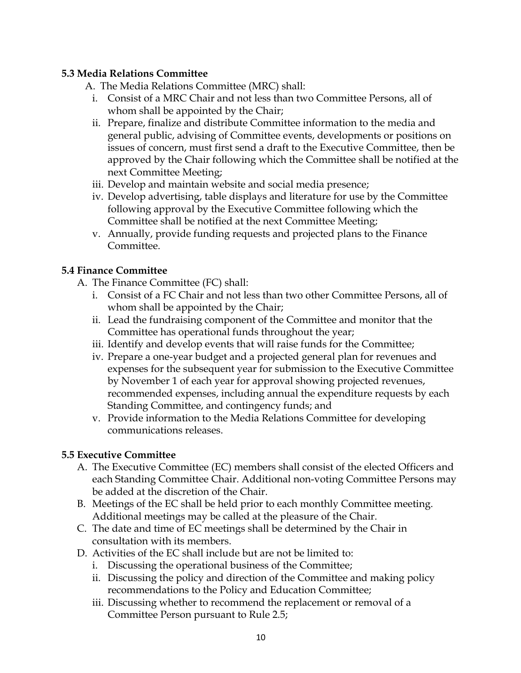# **5.3 Media Relations Committee**

A. The Media Relations Committee (MRC) shall:

- i. Consist of a MRC Chair and not less than two Committee Persons, all of whom shall be appointed by the Chair;
- ii. Prepare, finalize and distribute Committee information to the media and general public, advising of Committee events, developments or positions on issues of concern, must first send a draft to the Executive Committee, then be approved by the Chair following which the Committee shall be notified at the next Committee Meeting;
- iii. Develop and maintain website and social media presence;
- iv. Develop advertising, table displays and literature for use by the Committee following approval by the Executive Committee following which the Committee shall be notified at the next Committee Meeting;
- v. Annually, provide funding requests and projected plans to the Finance Committee.

# **5.4 Finance Committee**

- A. The Finance Committee (FC) shall:
	- i. Consist of a FC Chair and not less than two other Committee Persons, all of whom shall be appointed by the Chair;
	- ii. Lead the fundraising component of the Committee and monitor that the Committee has operational funds throughout the year;
	- iii. Identify and develop events that will raise funds for the Committee;
	- iv. Prepare a one-year budget and a projected general plan for revenues and expenses for the subsequent year for submission to the Executive Committee by November 1 of each year for approval showing projected revenues, recommended expenses, including annual the expenditure requests by each Standing Committee, and contingency funds; and
	- v. Provide information to the Media Relations Committee for developing communications releases.

# **5.5 Executive Committee**

- A. The Executive Committee (EC) members shall consist of the elected Officers and each Standing Committee Chair. Additional non-voting Committee Persons may be added at the discretion of the Chair.
- B. Meetings of the EC shall be held prior to each monthly Committee meeting. Additional meetings may be called at the pleasure of the Chair.
- C. The date and time of EC meetings shall be determined by the Chair in consultation with its members.
- D. Activities of the EC shall include but are not be limited to:
	- i. Discussing the operational business of the Committee;
	- ii. Discussing the policy and direction of the Committee and making policy recommendations to the Policy and Education Committee;
	- iii. Discussing whether to recommend the replacement or removal of a Committee Person pursuant to Rule 2.5;